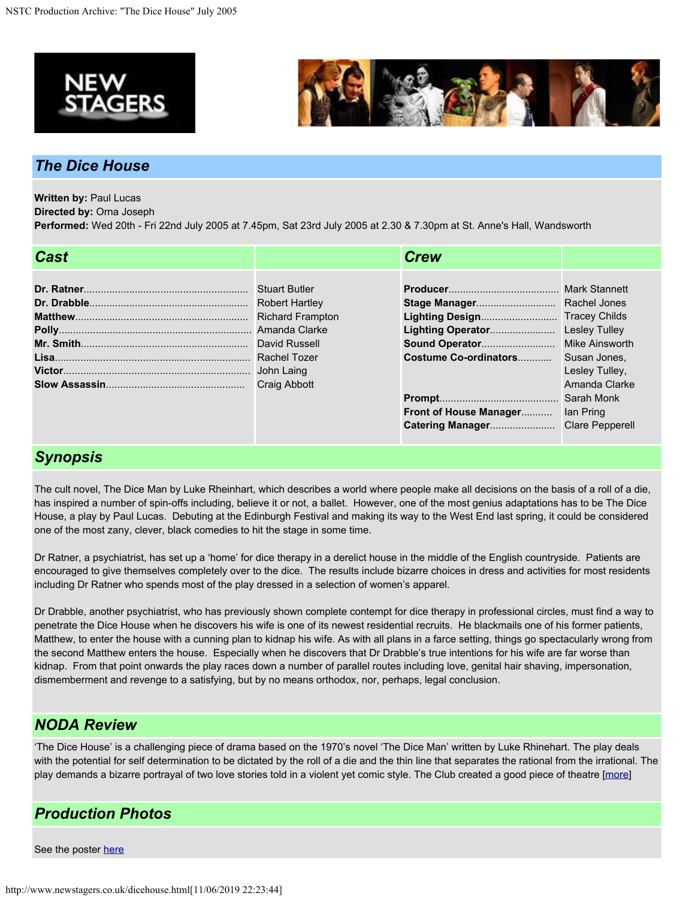



## *The Dice House*

**Written by:** Paul Lucas

**Directed by:** Orna Joseph

**Performed:** Wed 20th - Fri 22nd July 2005 at 7.45pm, Sat 23rd July 2005 at 2.30 & 7.30pm at St. Anne's Hall, Wandsworth

| <b>Stuart Butler</b><br><b>Robert Hartley</b><br><b>Richard Frampton</b><br>David Russell<br><b>Craig Abbott</b> | Costume Co-ordinators Susan Jones.<br>Lesley Tulley,<br>Amanda Clarke<br><b>Front of House Manager</b> lan Pring |
|------------------------------------------------------------------------------------------------------------------|------------------------------------------------------------------------------------------------------------------|

## *Synopsis*

The cult novel, The Dice Man by Luke Rheinhart, which describes a world where people make all decisions on the basis of a roll of a die, has inspired a number of spin-offs including, believe it or not, a ballet. However, one of the most genius adaptations has to be The Dice House, a play by Paul Lucas. Debuting at the Edinburgh Festival and making its way to the West End last spring, it could be considered one of the most zany, clever, black comedies to hit the stage in some time.

Dr Ratner, a psychiatrist, has set up a 'home' for dice therapy in a derelict house in the middle of the English countryside. Patients are encouraged to give themselves completely over to the dice. The results include bizarre choices in dress and activities for most residents including Dr Ratner who spends most of the play dressed in a selection of women's apparel.

Dr Drabble, another psychiatrist, who has previously shown complete contempt for dice therapy in professional circles, must find a way to penetrate the Dice House when he discovers his wife is one of its newest residential recruits. He blackmails one of his former patients, Matthew, to enter the house with a cunning plan to kidnap his wife. As with all plans in a farce setting, things go spectacularly wrong from the second Matthew enters the house. Especially when he discovers that Dr Drabble's true intentions for his wife are far worse than kidnap. From that point onwards the play races down a number of parallel routes including love, genital hair shaving, impersonation, dismemberment and revenge to a satisfying, but by no means orthodox, nor, perhaps, legal conclusion.

## *NODA Review*

'The Dice House' is a challenging piece of drama based on the 1970's novel 'The Dice Man' written by Luke Rhinehart. The play deals with the potential for self determination to be dictated by the roll of a die and the thin line that separates the rational from the irrational. The play demands a bizarre portrayal of two love stories told in a violent yet comic style. The Club created a good piece of theatre [[more](http://www.newstagers.co.uk/dicereview.html)]

## *Production Photos*

See the poster [here](http://www.newstagers.co.uk/images/dice_house_poster_A4.pdf)